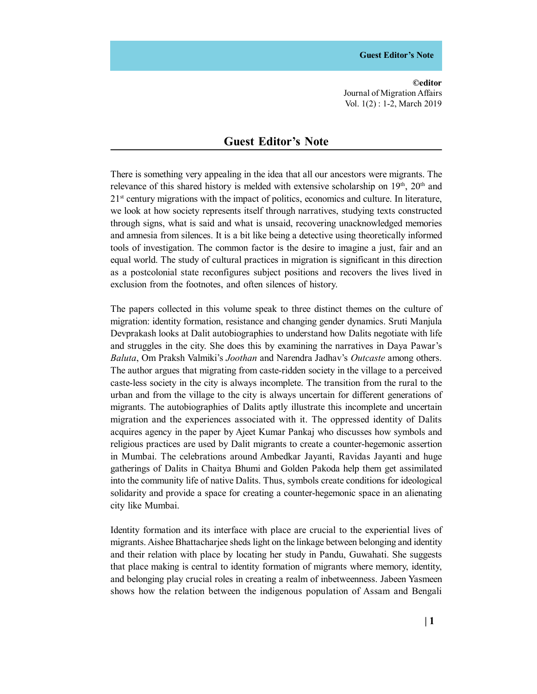**©editor** Journal of Migration Affairs Vol. 1(2) : 1-2, March 2019

## **Guest Editor's Note**

There is something very appealing in the idea that all our ancestors were migrants. The relevance of this shared history is melded with extensive scholarship on  $19<sup>th</sup>$ ,  $20<sup>th</sup>$  and  $21<sup>st</sup>$  century migrations with the impact of politics, economics and culture. In literature, we look at how society represents itself through narratives, studying texts constructed through signs, what is said and what is unsaid, recovering unacknowledged memories and amnesia from silences. It is a bit like being a detective using theoretically informed tools of investigation. The common factor is the desire to imagine a just, fair and an equal world. The study of cultural practices in migration is significant in this direction as a postcolonial state reconfigures subject positions and recovers the lives lived in exclusion from the footnotes, and often silences of history.

The papers collected in this volume speak to three distinct themes on the culture of migration: identity formation, resistance and changing gender dynamics. Sruti Manjula Devprakash looks at Dalit autobiographies to understand how Dalits negotiate with life and struggles in the city. She does this by examining the narratives in Daya Pawar's *Baluta*, Om Praksh Valmiki's *Joothan* and Narendra Jadhav's *Outcaste* among others. The author argues that migrating from caste-ridden society in the village to a perceived caste-less society in the city is always incomplete. The transition from the rural to the urban and from the village to the city is always uncertain for different generations of migrants. The autobiographies of Dalits aptly illustrate this incomplete and uncertain migration and the experiences associated with it. The oppressed identity of Dalits acquires agency in the paper by Ajeet Kumar Pankaj who discusses how symbols and religious practices are used by Dalit migrants to create a counter-hegemonic assertion in Mumbai. The celebrations around Ambedkar Jayanti, Ravidas Jayanti and huge gatherings of Dalits in Chaitya Bhumi and Golden Pakoda help them get assimilated into the community life of native Dalits. Thus, symbols create conditions for ideological solidarity and provide a space for creating a counter-hegemonic space in an alienating city like Mumbai.

Identity formation and its interface with place are crucial to the experiential lives of migrants. Aishee Bhattacharjee sheds light on the linkage between belonging and identity and their relation with place by locating her study in Pandu, Guwahati. She suggests that place making is central to identity formation of migrants where memory, identity, and belonging play crucial roles in creating a realm of inbetweenness. Jabeen Yasmeen shows how the relation between the indigenous population of Assam and Bengali